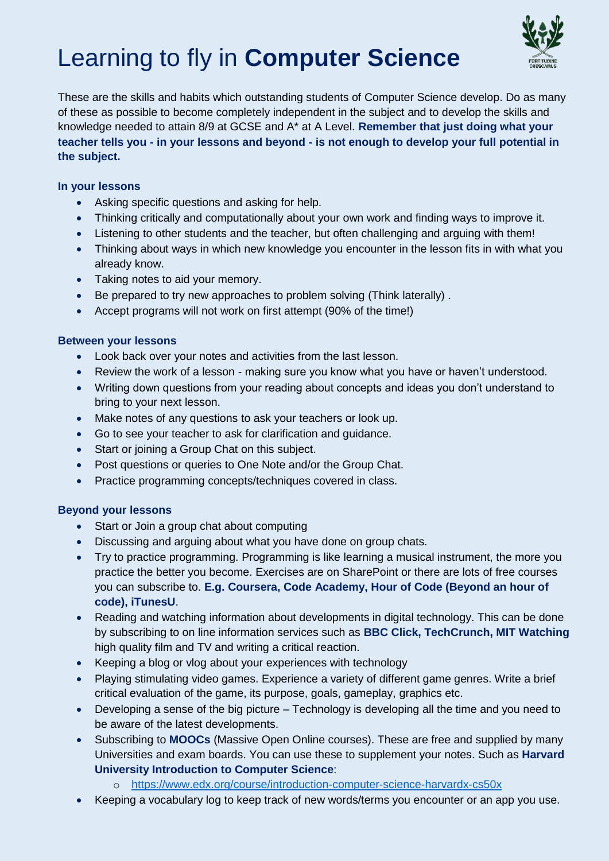# Learning to fly in **Computer Science**



These are the skills and habits which outstanding students of Computer Science develop. Do as many of these as possible to become completely independent in the subject and to develop the skills and knowledge needed to attain 8/9 at GCSE and A\* at A Level. **Remember that just doing what your teacher tells you - in your lessons and beyond - is not enough to develop your full potential in the subject.**

## **In your lessons**

- Asking specific questions and asking for help.
- Thinking critically and computationally about your own work and finding ways to improve it.
- Listening to other students and the teacher, but often challenging and arguing with them!
- Thinking about ways in which new knowledge you encounter in the lesson fits in with what you already know.
- Taking notes to aid your memory.
- Be prepared to try new approaches to problem solving (Think laterally) .
- Accept programs will not work on first attempt (90% of the time!)

#### **Between your lessons**

- Look back over your notes and activities from the last lesson.
- Review the work of a lesson making sure you know what you have or haven't understood.
- Writing down questions from your reading about concepts and ideas you don't understand to bring to your next lesson.
- Make notes of any questions to ask your teachers or look up.
- Go to see your teacher to ask for clarification and guidance.
- Start or joining a Group Chat on this subject.
- Post questions or queries to One Note and/or the Group Chat.
- Practice programming concepts/techniques covered in class.

#### **Beyond your lessons**

- Start or Join a group chat about computing
- Discussing and arguing about what you have done on group chats.
- Try to practice programming. Programming is like learning a musical instrument, the more you practice the better you become. Exercises are on SharePoint or there are lots of free courses you can subscribe to. **E.g. Coursera, Code Academy, Hour of Code (Beyond an hour of code), iTunesU**.
- Reading and watching information about developments in digital technology. This can be done by subscribing to on line information services such as **BBC Click, TechCrunch, MIT Watching** high quality film and TV and writing a critical reaction.
- Keeping a blog or vlog about your experiences with technology
- Playing stimulating video games. Experience a variety of different game genres. Write a brief critical evaluation of the game, its purpose, goals, gameplay, graphics etc.
- Developing a sense of the big picture Technology is developing all the time and you need to be aware of the latest developments.
- Subscribing to **MOOCs** (Massive Open Online courses). These are free and supplied by many Universities and exam boards. You can use these to supplement your notes. Such as **Harvard University Introduction to Computer Science**:
	- o <https://www.edx.org/course/introduction-computer-science-harvardx-cs50x>
- Keeping a vocabulary log to keep track of new words/terms you encounter or an app you use.